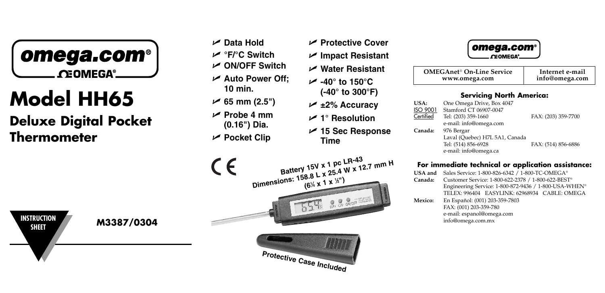

# **Model HH65**

**Deluxe Digital Pocket Thermometer**

- **Data Hold °F/°C Switch**
- **ON/OFF Switch**
- **Auto Power Off; 10 min.**
- **65 mm (2.5")**
- **Probe 4 mm (0.16") Dia.**
- **Pocket Clip**



 **Impact Resistant Water Resistant -40° to 150°C**

**Protective Cover** 

- **(-40° to 300°F) ±2% Accuracy**
- **1° Resolution**
- **15 Sec Response Time**



| <b>OMEGAnet<sup>®</sup> On-Line Service</b> | Internet e-mail |
|---------------------------------------------|-----------------|
| www.omega.com                               | info@omega.com  |
|                                             |                 |

# **Servicing North America:**

| USA:            | One Omega Drive, Box 4047      |                     |
|-----------------|--------------------------------|---------------------|
| <b>ISO 9001</b> | Stamford CT 06907-0047         |                     |
| Certified       | Tel: (203) 359-1660            | FAX: (203) 359-7700 |
|                 | e-mail: info@omega.com         |                     |
| Canada:         | 976 Bergar                     |                     |
|                 | Laval (Quebec) H7L 5A1, Canada |                     |
|                 | Tel: (514) 856-6928            | FAX: (514) 856-6886 |
|                 | e-mail: info@omega.ca          |                     |

## **For immediate technical or application assistance:**

| USA and<br>Canada: | Sales Service: 1-800-826-6342 / 1-800-TC-OMEGA®<br>Customer Service: 1-800-622-2378 / 1-800-622-BEST®<br>Engineering Service: 1-800-872-9436 / 1-800-USA-WHEN®<br>TELEX: 996404 EASYLINK: 62968934 CABLE: OMEGA |
|--------------------|-----------------------------------------------------------------------------------------------------------------------------------------------------------------------------------------------------------------|
| Mexico:            | En Español: (001) 203-359-7803<br>FAX: (001) 203-359-780<br>e-mail: espanol@omega.com<br>info@omega.com.mx                                                                                                      |